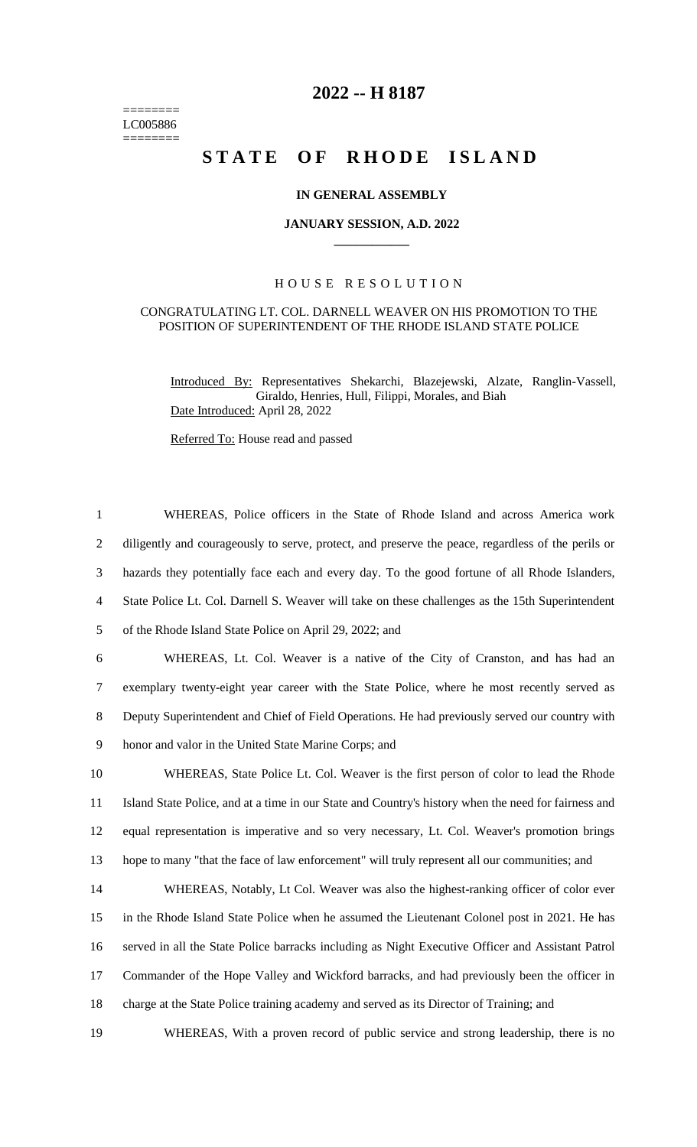======== LC005886 ========

# **2022 -- H 8187**

# **STATE OF RHODE ISLAND**

## **IN GENERAL ASSEMBLY**

#### **JANUARY SESSION, A.D. 2022 \_\_\_\_\_\_\_\_\_\_\_\_**

### H O U S E R E S O L U T I O N

#### CONGRATULATING LT. COL. DARNELL WEAVER ON HIS PROMOTION TO THE POSITION OF SUPERINTENDENT OF THE RHODE ISLAND STATE POLICE

Introduced By: Representatives Shekarchi, Blazejewski, Alzate, Ranglin-Vassell, Giraldo, Henries, Hull, Filippi, Morales, and Biah Date Introduced: April 28, 2022

Referred To: House read and passed

 WHEREAS, Police officers in the State of Rhode Island and across America work diligently and courageously to serve, protect, and preserve the peace, regardless of the perils or hazards they potentially face each and every day. To the good fortune of all Rhode Islanders, State Police Lt. Col. Darnell S. Weaver will take on these challenges as the 15th Superintendent of the Rhode Island State Police on April 29, 2022; and WHEREAS, Lt. Col. Weaver is a native of the City of Cranston, and has had an exemplary twenty-eight year career with the State Police, where he most recently served as Deputy Superintendent and Chief of Field Operations. He had previously served our country with honor and valor in the United State Marine Corps; and WHEREAS, State Police Lt. Col. Weaver is the first person of color to lead the Rhode Island State Police, and at a time in our State and Country's history when the need for fairness and equal representation is imperative and so very necessary, Lt. Col. Weaver's promotion brings hope to many "that the face of law enforcement" will truly represent all our communities; and WHEREAS, Notably, Lt Col. Weaver was also the highest-ranking officer of color ever in the Rhode Island State Police when he assumed the Lieutenant Colonel post in 2021. He has served in all the State Police barracks including as Night Executive Officer and Assistant Patrol Commander of the Hope Valley and Wickford barracks, and had previously been the officer in charge at the State Police training academy and served as its Director of Training; and WHEREAS, With a proven record of public service and strong leadership, there is no